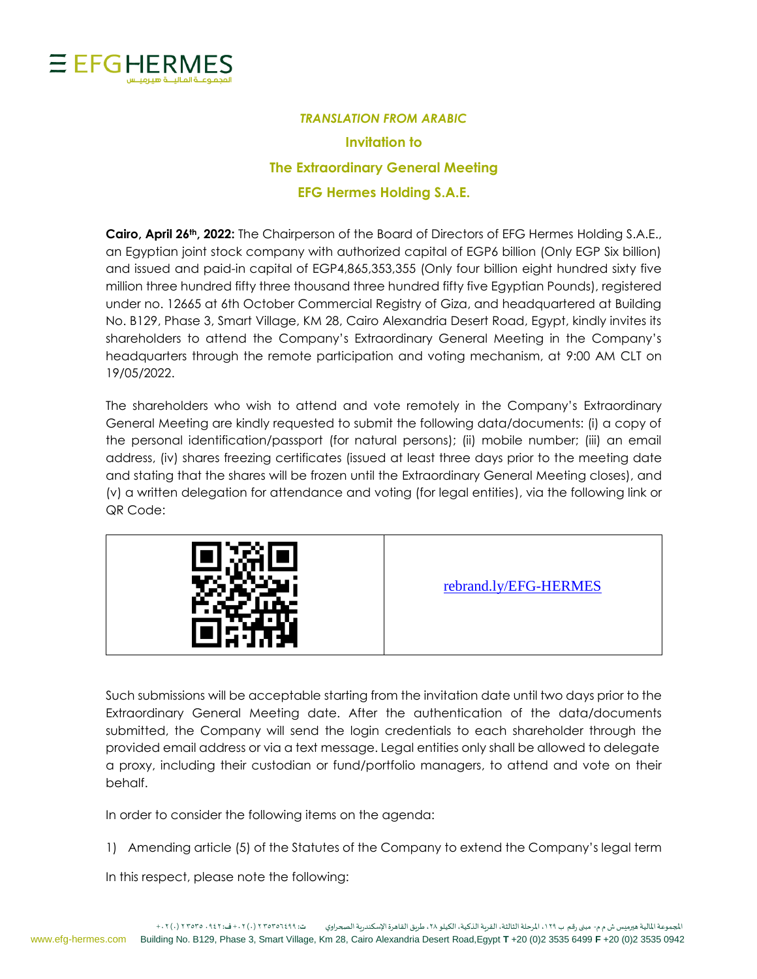

## *TRANSLATION FROM ARABIC* **Invitation to The Extraordinary General Meeting EFG Hermes Holding S.A.E.**

**Cairo, April 26th, 2022:** The Chairperson of the Board of Directors of EFG Hermes Holding S.A.E., an Egyptian joint stock company with authorized capital of EGP6 billion (Only EGP Six billion) and issued and paid-in capital of EGP4,865,353,355 (Only four billion eight hundred sixty five million three hundred fifty three thousand three hundred fifty five Egyptian Pounds), registered under no. 12665 at 6th October Commercial Registry of Giza, and headquartered at Building No. B129, Phase 3, Smart Village, KM 28, Cairo Alexandria Desert Road, Egypt, kindly invites its shareholders to attend the Company's Extraordinary General Meeting in the Company's headquarters through the remote participation and voting mechanism, at 9:00 AM CLT on 19/05/2022.

The shareholders who wish to attend and vote remotely in the Company's Extraordinary General Meeting are kindly requested to submit the following data/documents: (i) a copy of the personal identification/passport (for natural persons); (ii) mobile number; (iii) an email address, (iv) shares freezing certificates (issued at least three days prior to the meeting date and stating that the shares will be frozen until the Extraordinary General Meeting closes), and (v) a written delegation for attendance and voting (for legal entities), via the following link or QR Code:



[rebrand.ly/EFG-HERMES](https://emagles.com/voterinformation/EFG669018)

Such submissions will be acceptable starting from the invitation date until two days prior to the Extraordinary General Meeting date. After the authentication of the data/documents submitted, the Company will send the login credentials to each shareholder through the provided email address or via a text message. Legal entities only shall be allowed to delegate a proxy, including their custodian or fund/portfolio managers, to attend and vote on their behalf.

In order to consider the following items on the agenda:

1) Amending article (5) of the Statutes of the Company to extend the Company's legal term

In this respect, please note the following: